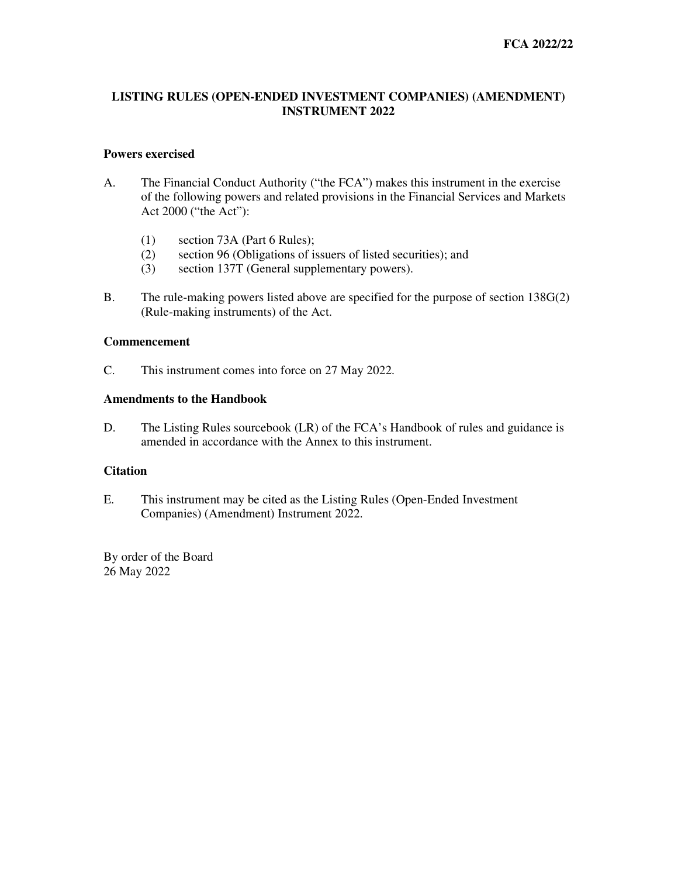# **LISTING RULES (OPEN-ENDED INVESTMENT COMPANIES) (AMENDMENT) INSTRUMENT 2022**

### **Powers exercised**

- A. The Financial Conduct Authority ("the FCA") makes this instrument in the exercise of the following powers and related provisions in the Financial Services and Markets Act 2000 ("the Act"):
	- (1) section 73A (Part 6 Rules);
	- (2) section 96 (Obligations of issuers of listed securities); and
	- (3) section 137T (General supplementary powers).
- B. The rule-making powers listed above are specified for the purpose of section 138G(2) (Rule-making instruments) of the Act.

## **Commencement**

C. This instrument comes into force on 27 May 2022.

### **Amendments to the Handbook**

D. The Listing Rules sourcebook (LR) of the FCA's Handbook of rules and guidance is amended in accordance with the Annex to this instrument.

### **Citation**

E. This instrument may be cited as the Listing Rules (Open-Ended Investment Companies) (Amendment) Instrument 2022.

By order of the Board 26 May 2022